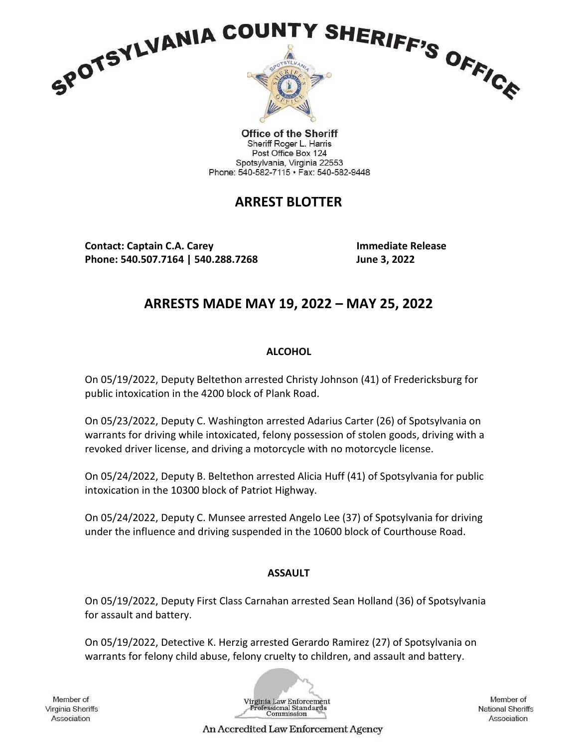

**Office of the Sheriff** Sheriff Roger L. Harris Post Office Box 124 Spotsylvania, Virginia 22553 Phone: 540-582-7115 · Fax: 540-582-9448

# ARREST BLOTTER

Contact: Captain C.A. Carey Immediate Release Phone: 540.507.7164 | 540.288.7268 June 3, 2022

# ARRESTS MADE MAY 19, 2022 – MAY 25, 2022

## **ALCOHOL**

On 05/19/2022, Deputy Beltethon arrested Christy Johnson (41) of Fredericksburg for public intoxication in the 4200 block of Plank Road.

On 05/23/2022, Deputy C. Washington arrested Adarius Carter (26) of Spotsylvania on warrants for driving while intoxicated, felony possession of stolen goods, driving with a revoked driver license, and driving a motorcycle with no motorcycle license.

On 05/24/2022, Deputy B. Beltethon arrested Alicia Huff (41) of Spotsylvania for public intoxication in the 10300 block of Patriot Highway.

On 05/24/2022, Deputy C. Munsee arrested Angelo Lee (37) of Spotsylvania for driving under the influence and driving suspended in the 10600 block of Courthouse Road.

## ASSAULT

On 05/19/2022, Deputy First Class Carnahan arrested Sean Holland (36) of Spotsylvania for assault and battery.

On 05/19/2022, Detective K. Herzig arrested Gerardo Ramirez (27) of Spotsylvania on warrants for felony child abuse, felony cruelty to children, and assault and battery.

Member of Virginia Sheriffs Association

Virginia Law Enforcement ofessional Standards<br>Commission

Member of **National Sheriffs** Association

An Accredited Law Enforcement Agency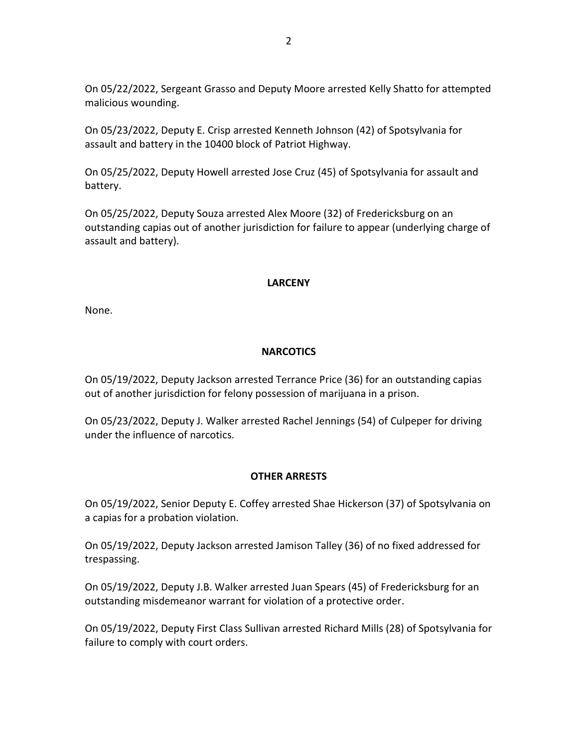On 05/22/2022, Sergeant Grasso and Deputy Moore arrested Kelly Shatto for attempted malicious wounding.

On 05/23/2022, Deputy E. Crisp arrested Kenneth Johnson (42) of Spotsylvania for assault and battery in the 10400 block of Patriot Highway.

On 05/25/2022, Deputy Howell arrested Jose Cruz (45) of Spotsylvania for assault and battery.

On 05/25/2022, Deputy Souza arrested Alex Moore (32) of Fredericksburg on an outstanding capias out of another jurisdiction for failure to appear (underlying charge of assault and battery).

### LARCENY

None.

### **NARCOTICS**

On 05/19/2022, Deputy Jackson arrested Terrance Price (36) for an outstanding capias out of another jurisdiction for felony possession of marijuana in a prison.

On 05/23/2022, Deputy J. Walker arrested Rachel Jennings (54) of Culpeper for driving under the influence of narcotics.

#### OTHER ARRESTS

On 05/19/2022, Senior Deputy E. Coffey arrested Shae Hickerson (37) of Spotsylvania on a capias for a probation violation.

On 05/19/2022, Deputy Jackson arrested Jamison Talley (36) of no fixed addressed for trespassing.

On 05/19/2022, Deputy J.B. Walker arrested Juan Spears (45) of Fredericksburg for an outstanding misdemeanor warrant for violation of a protective order.

On 05/19/2022, Deputy First Class Sullivan arrested Richard Mills (28) of Spotsylvania for failure to comply with court orders.